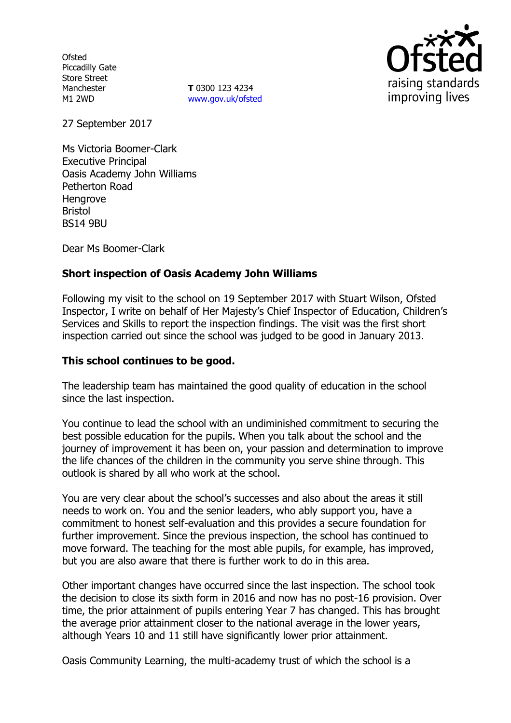**Ofsted** Piccadilly Gate Store Street Manchester M1 2WD

**T** 0300 123 4234 [www.gov.uk/ofsted](http://www.gov.uk/ofsted)



27 September 2017

Ms Victoria Boomer-Clark Executive Principal Oasis Academy John Williams Petherton Road **Hengrove** Bristol BS14 9BU

Dear Ms Boomer-Clark

### **Short inspection of Oasis Academy John Williams**

Following my visit to the school on 19 September 2017 with Stuart Wilson, Ofsted Inspector, I write on behalf of Her Majesty's Chief Inspector of Education, Children's Services and Skills to report the inspection findings. The visit was the first short inspection carried out since the school was judged to be good in January 2013.

### **This school continues to be good.**

The leadership team has maintained the good quality of education in the school since the last inspection.

You continue to lead the school with an undiminished commitment to securing the best possible education for the pupils. When you talk about the school and the journey of improvement it has been on, your passion and determination to improve the life chances of the children in the community you serve shine through. This outlook is shared by all who work at the school.

You are very clear about the school's successes and also about the areas it still needs to work on. You and the senior leaders, who ably support you, have a commitment to honest self-evaluation and this provides a secure foundation for further improvement. Since the previous inspection, the school has continued to move forward. The teaching for the most able pupils, for example, has improved, but you are also aware that there is further work to do in this area.

Other important changes have occurred since the last inspection. The school took the decision to close its sixth form in 2016 and now has no post-16 provision. Over time, the prior attainment of pupils entering Year 7 has changed. This has brought the average prior attainment closer to the national average in the lower years, although Years 10 and 11 still have significantly lower prior attainment.

Oasis Community Learning, the multi-academy trust of which the school is a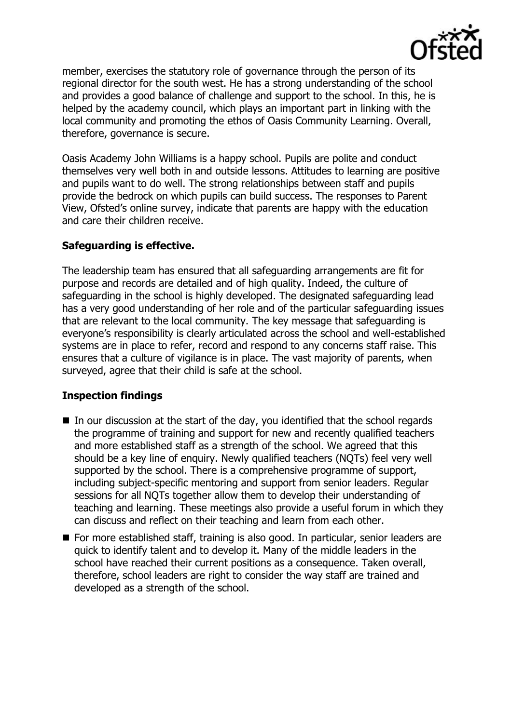

member, exercises the statutory role of governance through the person of its regional director for the south west. He has a strong understanding of the school and provides a good balance of challenge and support to the school. In this, he is helped by the academy council, which plays an important part in linking with the local community and promoting the ethos of Oasis Community Learning. Overall, therefore, governance is secure.

Oasis Academy John Williams is a happy school. Pupils are polite and conduct themselves very well both in and outside lessons. Attitudes to learning are positive and pupils want to do well. The strong relationships between staff and pupils provide the bedrock on which pupils can build success. The responses to Parent View, Ofsted's online survey, indicate that parents are happy with the education and care their children receive.

## **Safeguarding is effective.**

The leadership team has ensured that all safeguarding arrangements are fit for purpose and records are detailed and of high quality. Indeed, the culture of safeguarding in the school is highly developed. The designated safeguarding lead has a very good understanding of her role and of the particular safeguarding issues that are relevant to the local community. The key message that safeguarding is everyone's responsibility is clearly articulated across the school and well-established systems are in place to refer, record and respond to any concerns staff raise. This ensures that a culture of vigilance is in place. The vast majority of parents, when surveyed, agree that their child is safe at the school.

# **Inspection findings**

- $\blacksquare$  In our discussion at the start of the day, you identified that the school regards the programme of training and support for new and recently qualified teachers and more established staff as a strength of the school. We agreed that this should be a key line of enquiry. Newly qualified teachers (NQTs) feel very well supported by the school. There is a comprehensive programme of support, including subject-specific mentoring and support from senior leaders. Regular sessions for all NQTs together allow them to develop their understanding of teaching and learning. These meetings also provide a useful forum in which they can discuss and reflect on their teaching and learn from each other.
- For more established staff, training is also good. In particular, senior leaders are quick to identify talent and to develop it. Many of the middle leaders in the school have reached their current positions as a consequence. Taken overall, therefore, school leaders are right to consider the way staff are trained and developed as a strength of the school.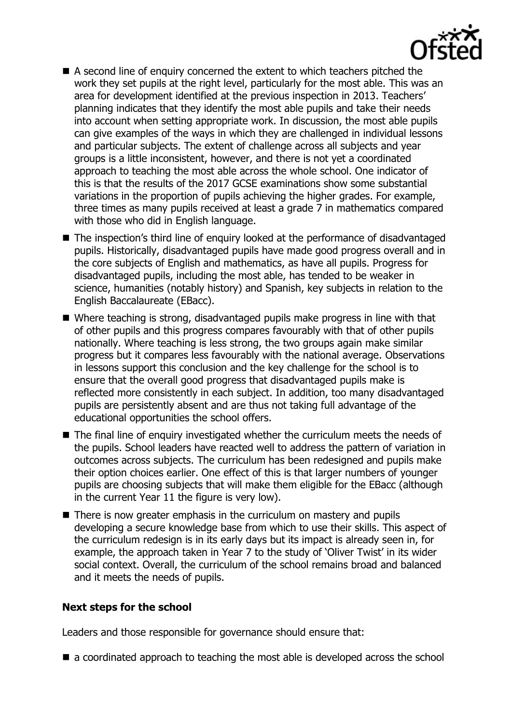

- A second line of enquiry concerned the extent to which teachers pitched the work they set pupils at the right level, particularly for the most able. This was an area for development identified at the previous inspection in 2013. Teachers' planning indicates that they identify the most able pupils and take their needs into account when setting appropriate work. In discussion, the most able pupils can give examples of the ways in which they are challenged in individual lessons and particular subjects. The extent of challenge across all subjects and year groups is a little inconsistent, however, and there is not yet a coordinated approach to teaching the most able across the whole school. One indicator of this is that the results of the 2017 GCSE examinations show some substantial variations in the proportion of pupils achieving the higher grades. For example, three times as many pupils received at least a grade 7 in mathematics compared with those who did in English language.
- The inspection's third line of enquiry looked at the performance of disadvantaged pupils. Historically, disadvantaged pupils have made good progress overall and in the core subjects of English and mathematics, as have all pupils. Progress for disadvantaged pupils, including the most able, has tended to be weaker in science, humanities (notably history) and Spanish, key subjects in relation to the English Baccalaureate (EBacc).
- Where teaching is strong, disadvantaged pupils make progress in line with that of other pupils and this progress compares favourably with that of other pupils nationally. Where teaching is less strong, the two groups again make similar progress but it compares less favourably with the national average. Observations in lessons support this conclusion and the key challenge for the school is to ensure that the overall good progress that disadvantaged pupils make is reflected more consistently in each subject. In addition, too many disadvantaged pupils are persistently absent and are thus not taking full advantage of the educational opportunities the school offers.
- The final line of enquiry investigated whether the curriculum meets the needs of the pupils. School leaders have reacted well to address the pattern of variation in outcomes across subjects. The curriculum has been redesigned and pupils make their option choices earlier. One effect of this is that larger numbers of younger pupils are choosing subjects that will make them eligible for the EBacc (although in the current Year 11 the figure is very low).
- There is now greater emphasis in the curriculum on mastery and pupils developing a secure knowledge base from which to use their skills. This aspect of the curriculum redesign is in its early days but its impact is already seen in, for example, the approach taken in Year 7 to the study of 'Oliver Twist' in its wider social context. Overall, the curriculum of the school remains broad and balanced and it meets the needs of pupils.

### **Next steps for the school**

Leaders and those responsible for governance should ensure that:

 $\blacksquare$  a coordinated approach to teaching the most able is developed across the school